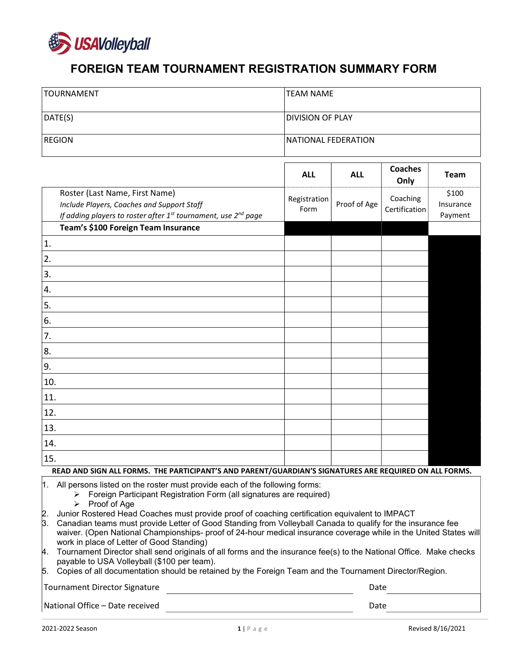

## FOREIGN TEAM TOURNAMENT REGISTRATION SUMMARY FORM

| <b>TOURNAMENT</b>                                                                                                                                                                                                                                                                                                                                                                                                                                                                                                                                                                 | <b>TEAM NAME</b>        |              |                           |                               |  |  |  |
|-----------------------------------------------------------------------------------------------------------------------------------------------------------------------------------------------------------------------------------------------------------------------------------------------------------------------------------------------------------------------------------------------------------------------------------------------------------------------------------------------------------------------------------------------------------------------------------|-------------------------|--------------|---------------------------|-------------------------------|--|--|--|
| DATE(S)                                                                                                                                                                                                                                                                                                                                                                                                                                                                                                                                                                           | <b>DIVISION OF PLAY</b> |              |                           |                               |  |  |  |
| <b>REGION</b>                                                                                                                                                                                                                                                                                                                                                                                                                                                                                                                                                                     | NATIONAL FEDERATION     |              |                           |                               |  |  |  |
|                                                                                                                                                                                                                                                                                                                                                                                                                                                                                                                                                                                   | <b>ALL</b>              | <b>ALL</b>   | <b>Coaches</b><br>Only    | <b>Team</b>                   |  |  |  |
| Roster (Last Name, First Name)<br>Include Players, Coaches and Support Staff<br>If adding players to roster after 1 <sup>st</sup> tournament, use 2 <sup>nd</sup> page                                                                                                                                                                                                                                                                                                                                                                                                            | Registration<br>Form    | Proof of Age | Coaching<br>Certification | \$100<br>Insurance<br>Payment |  |  |  |
| Team's \$100 Foreign Team Insurance                                                                                                                                                                                                                                                                                                                                                                                                                                                                                                                                               |                         |              |                           |                               |  |  |  |
| 1.                                                                                                                                                                                                                                                                                                                                                                                                                                                                                                                                                                                |                         |              |                           |                               |  |  |  |
| 2.                                                                                                                                                                                                                                                                                                                                                                                                                                                                                                                                                                                |                         |              |                           |                               |  |  |  |
| 3.                                                                                                                                                                                                                                                                                                                                                                                                                                                                                                                                                                                |                         |              |                           |                               |  |  |  |
| 4.                                                                                                                                                                                                                                                                                                                                                                                                                                                                                                                                                                                |                         |              |                           |                               |  |  |  |
| 5.                                                                                                                                                                                                                                                                                                                                                                                                                                                                                                                                                                                |                         |              |                           |                               |  |  |  |
| 6.                                                                                                                                                                                                                                                                                                                                                                                                                                                                                                                                                                                |                         |              |                           |                               |  |  |  |
| 7.                                                                                                                                                                                                                                                                                                                                                                                                                                                                                                                                                                                |                         |              |                           |                               |  |  |  |
| 8.                                                                                                                                                                                                                                                                                                                                                                                                                                                                                                                                                                                |                         |              |                           |                               |  |  |  |
| 9.                                                                                                                                                                                                                                                                                                                                                                                                                                                                                                                                                                                |                         |              |                           |                               |  |  |  |
| 10.                                                                                                                                                                                                                                                                                                                                                                                                                                                                                                                                                                               |                         |              |                           |                               |  |  |  |
| 11.                                                                                                                                                                                                                                                                                                                                                                                                                                                                                                                                                                               |                         |              |                           |                               |  |  |  |
| 12.                                                                                                                                                                                                                                                                                                                                                                                                                                                                                                                                                                               |                         |              |                           |                               |  |  |  |
| 13.                                                                                                                                                                                                                                                                                                                                                                                                                                                                                                                                                                               |                         |              |                           |                               |  |  |  |
| 14.                                                                                                                                                                                                                                                                                                                                                                                                                                                                                                                                                                               |                         |              |                           |                               |  |  |  |
| 15.                                                                                                                                                                                                                                                                                                                                                                                                                                                                                                                                                                               |                         |              |                           |                               |  |  |  |
| READ AND SIGN ALL FORMS. THE PARTICIPANT'S AND PARENT/GUARDIAN'S SIGNATURES ARE REQUIRED ON ALL FORMS.                                                                                                                                                                                                                                                                                                                                                                                                                                                                            |                         |              |                           |                               |  |  |  |
| All persons listed on the roster must provide each of the following forms:<br>∥1.<br>Foreign Participant Registration Form (all signatures are required)<br>➤<br>Proof of Age<br>⋗<br>Junior Rostered Head Coaches must provide proof of coaching certification equivalent to IMPACT<br>2.<br>β.<br>Canadian teams must provide Letter of Good Standing from Volleyball Canada to qualify for the insurance fee<br>waiver. (Open National Championships- proof of 24-hour medical insurance coverage while in the United States will<br>work in place of Letter of Good Standing) |                         |              |                           |                               |  |  |  |

- 4. Tournament Director shall send originals of all forms and the insurance fee(s) to the National Office. Make checks payable to USA Volleyball (\$100 per team).
- $5.$  Copies of all documentation should be retained by the Foreign Team and the Tournament Director/Region.

Tournament Director Signature Date of the United States of the Date Date of the Date Date

National Office – Date received **Date 2018** 2019 12:38 2019 12:38 2019 12:38 2019 12:38 2019 12:38 2019 12:38 201